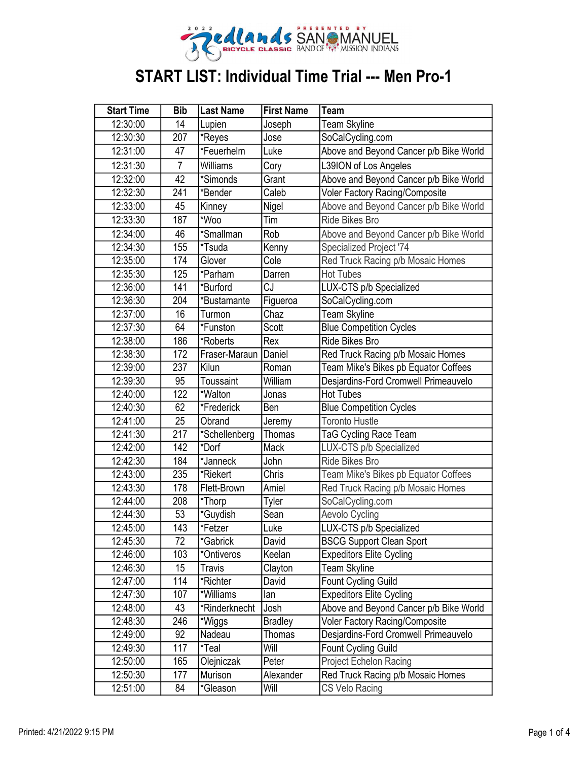

| <b>Start Time</b> | <b>Bib</b>     | <b>Last Name</b> | <b>First Name</b> | Team                                   |
|-------------------|----------------|------------------|-------------------|----------------------------------------|
| 12:30:00          | 14             | Lupien           | Joseph            | Team Skyline                           |
| 12:30:30          | 207            | *Reyes           | Jose              | SoCalCycling.com                       |
| 12:31:00          | 47             | *Feuerhelm       | Luke              | Above and Beyond Cancer p/b Bike World |
| 12:31:30          | $\overline{7}$ | Williams         | Cory              | L39ION of Los Angeles                  |
| 12:32:00          | 42             | *Simonds         | Grant             | Above and Beyond Cancer p/b Bike World |
| 12:32:30          | 241            | *Bender          | Caleb             | <b>Voler Factory Racing/Composite</b>  |
| 12:33:00          | 45             | Kinney           | Nigel             | Above and Beyond Cancer p/b Bike World |
| 12:33:30          | 187            | *Woo             | Tim               | <b>Ride Bikes Bro</b>                  |
| 12:34:00          | 46             | *Smallman        | Rob               | Above and Beyond Cancer p/b Bike World |
| 12:34:30          | 155            | *Tsuda           | Kenny             | Specialized Project '74                |
| 12:35:00          | 174            | Glover           | Cole              | Red Truck Racing p/b Mosaic Homes      |
| 12:35:30          | 125            | *Parham          | Darren            | <b>Hot Tubes</b>                       |
| 12:36:00          | 141            | *Burford         | CJ                | LUX-CTS p/b Specialized                |
| 12:36:30          | 204            | *Bustamante      | Figueroa          | SoCalCycling.com                       |
| 12:37:00          | 16             | Turmon           | Chaz              | Team Skyline                           |
| 12:37:30          | 64             | *Funston         | Scott             | <b>Blue Competition Cycles</b>         |
| 12:38:00          | 186            | *Roberts         | Rex               | <b>Ride Bikes Bro</b>                  |
| 12:38:30          | 172            | Fraser-Maraun    | Daniel            | Red Truck Racing p/b Mosaic Homes      |
| 12:39:00          | 237            | Kilun            | Roman             | Team Mike's Bikes pb Equator Coffees   |
| 12:39:30          | 95             | <b>Toussaint</b> | William           | Desjardins-Ford Cromwell Primeauvelo   |
| 12:40:00          | 122            | *Walton          | Jonas             | <b>Hot Tubes</b>                       |
| 12:40:30          | 62             | *Frederick       | Ben               | <b>Blue Competition Cycles</b>         |
| 12:41:00          | 25             | Obrand           | Jeremy            | <b>Toronto Hustle</b>                  |
| 12:41:30          | 217            | *Schellenberg    | <b>Thomas</b>     | TaG Cycling Race Team                  |
| 12:42:00          | 142            | *Dorf            | Mack              | LUX-CTS p/b Specialized                |
| 12:42:30          | 184            | *Janneck         | John              | <b>Ride Bikes Bro</b>                  |
| 12:43:00          | 235            | *Riekert         | Chris             | Team Mike's Bikes pb Equator Coffees   |
| 12:43:30          | 178            | Flett-Brown      | Amiel             | Red Truck Racing p/b Mosaic Homes      |
| 12:44:00          | 208            | *Thorp           | Tyler             | SoCalCycling.com                       |
| 12:44:30          | 53             | *Guydish         | Sean              | Aevolo Cycling                         |
| 12:45:00          | 143            | *Fetzer          | Luke              | LUX-CTS p/b Specialized                |
| 12:45:30          | 72             | *Gabrick         | David             | <b>BSCG Support Clean Sport</b>        |
| 12:46:00          | 103            | *Ontiveros       | Keelan            | <b>Expeditors Elite Cycling</b>        |
| 12:46:30          | 15             | <b>Travis</b>    | Clayton           | Team Skyline                           |
| 12:47:00          | 114            | *Richter         | David             | <b>Fount Cycling Guild</b>             |
| 12:47:30          | 107            | *Williams        | lan               | <b>Expeditors Elite Cycling</b>        |
| 12:48:00          | 43             | *Rinderknecht    | Josh              | Above and Beyond Cancer p/b Bike World |
| 12:48:30          | 246            | *Wiggs           | <b>Bradley</b>    | <b>Voler Factory Racing/Composite</b>  |
| 12:49:00          | 92             | Nadeau           | Thomas            | Desjardins-Ford Cromwell Primeauvelo   |
| 12:49:30          | 117            | *Teal            | Will              | <b>Fount Cycling Guild</b>             |
| 12:50:00          | 165            | Olejniczak       | Peter             | Project Echelon Racing                 |
| 12:50:30          | 177            | Murison          | Alexander         | Red Truck Racing p/b Mosaic Homes      |
| 12:51:00          | 84             | *Gleason         | Will              | CS Velo Racing                         |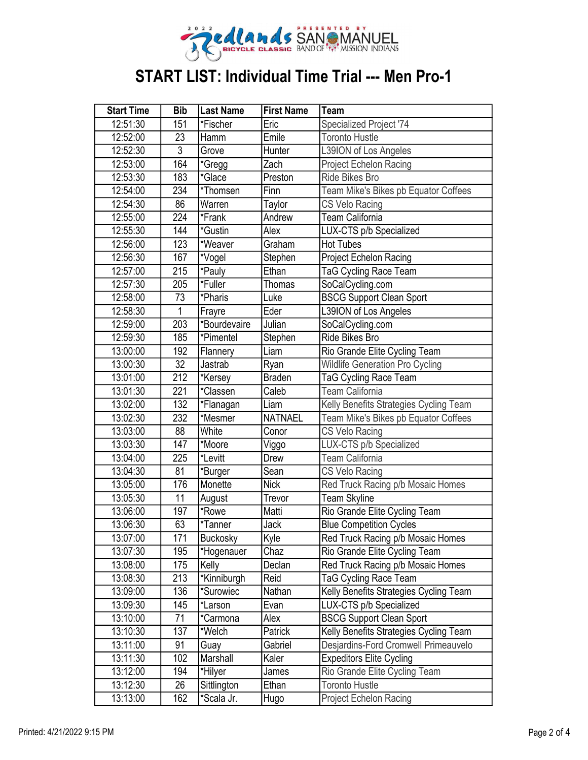

| <b>Start Time</b> | <b>Bib</b>     | <b>Last Name</b> | <b>First Name</b> | Team                                   |
|-------------------|----------------|------------------|-------------------|----------------------------------------|
| 12:51:30          | 151            | *Fischer         | Eric              | Specialized Project '74                |
| 12:52:00          | 23             | Hamm             | Emile             | <b>Toronto Hustle</b>                  |
| 12:52:30          | $\overline{3}$ | Grove            | Hunter            | L39ION of Los Angeles                  |
| 12:53:00          | 164            | *Gregg           | Zach              | Project Echelon Racing                 |
| 12:53:30          | 183            | *Glace           | Preston           | <b>Ride Bikes Bro</b>                  |
| 12:54:00          | 234            | *Thomsen         | Finn              | Team Mike's Bikes pb Equator Coffees   |
| 12:54:30          | 86             | Warren           | Taylor            | CS Velo Racing                         |
| 12:55:00          | 224            | *Frank           | Andrew            | Team California                        |
| 12:55:30          | 144            | *Gustin          | Alex              | LUX-CTS p/b Specialized                |
| 12:56:00          | 123            | *Weaver          | Graham            | <b>Hot Tubes</b>                       |
| 12:56:30          | 167            | *Vogel           | Stephen           | Project Echelon Racing                 |
| 12:57:00          | 215            | *Pauly           | Ethan             | <b>TaG Cycling Race Team</b>           |
| 12:57:30          | 205            | *Fuller          | Thomas            | SoCalCycling.com                       |
| 12:58:00          | 73             | *Pharis          | Luke              | <b>BSCG Support Clean Sport</b>        |
| 12:58:30          | 1              | Frayre           | Eder              | L39ION of Los Angeles                  |
| 12:59:00          | 203            | *Bourdevaire     | Julian            | SoCalCycling.com                       |
| 12:59:30          | 185            | *Pimentel        | Stephen           | Ride Bikes Bro                         |
| 13:00:00          | 192            | Flannery         | Liam              | Rio Grande Elite Cycling Team          |
| 13:00:30          | 32             | Jastrab          | Ryan              | <b>Wildlife Generation Pro Cycling</b> |
| 13:01:00          | 212            | *Kersey          | <b>Braden</b>     | TaG Cycling Race Team                  |
| 13:01:30          | 221            | *Classen         | Caleb             | <b>Team California</b>                 |
| 13:02:00          | 132            | *Flanagan        | Liam              | Kelly Benefits Strategies Cycling Team |
| 13:02:30          | 232            | *Mesmer          | <b>NATNAEL</b>    | Team Mike's Bikes pb Equator Coffees   |
| 13:03:00          | 88             | White            | Conor             | CS Velo Racing                         |
| 13:03:30          | 147            | *Moore           | Viggo             | LUX-CTS p/b Specialized                |
| 13:04:00          | 225            | *Levitt          | Drew              | <b>Team California</b>                 |
| 13:04:30          | 81             | *Burger          | Sean              | CS Velo Racing                         |
| 13:05:00          | 176            | Monette          | <b>Nick</b>       | Red Truck Racing p/b Mosaic Homes      |
| 13:05:30          | 11             | August           | Trevor            | Team Skyline                           |
| 13:06:00          | 197            | *Rowe            | Matti             | Rio Grande Elite Cycling Team          |
| 13:06:30          | 63             | *Tanner          | Jack              | <b>Blue Competition Cycles</b>         |
| 13:07:00          | 171            | <b>Buckosky</b>  | Kyle              | Red Truck Racing p/b Mosaic Homes      |
| 13:07:30          | 195            | *Hogenauer       | Chaz              | Rio Grande Elite Cycling Team          |
| 13:08:00          | 175            | Kelly            | Declan            | Red Truck Racing p/b Mosaic Homes      |
| 13:08:30          | 213            | *Kinniburgh      | Reid              | <b>TaG Cycling Race Team</b>           |
| 13:09:00          | 136            | *Surowiec        | Nathan            | Kelly Benefits Strategies Cycling Team |
| 13:09:30          | 145            | *Larson          | Evan              | LUX-CTS p/b Specialized                |
| 13:10:00          | 71             | *Carmona         | Alex              | <b>BSCG Support Clean Sport</b>        |
| 13:10:30          | 137            | *Welch           | Patrick           | Kelly Benefits Strategies Cycling Team |
| 13:11:00          | 91             | Guay             | Gabriel           | Desjardins-Ford Cromwell Primeauvelo   |
| 13:11:30          | 102            | Marshall         | Kaler             | <b>Expeditors Elite Cycling</b>        |
| 13:12:00          | 194            | *Hilyer          | James             | Rio Grande Elite Cycling Team          |
| 13:12:30          | 26             | Sittlington      | Ethan             | <b>Toronto Hustle</b>                  |
| 13:13:00          | 162            | *Scala Jr.       | Hugo              | <b>Project Echelon Racing</b>          |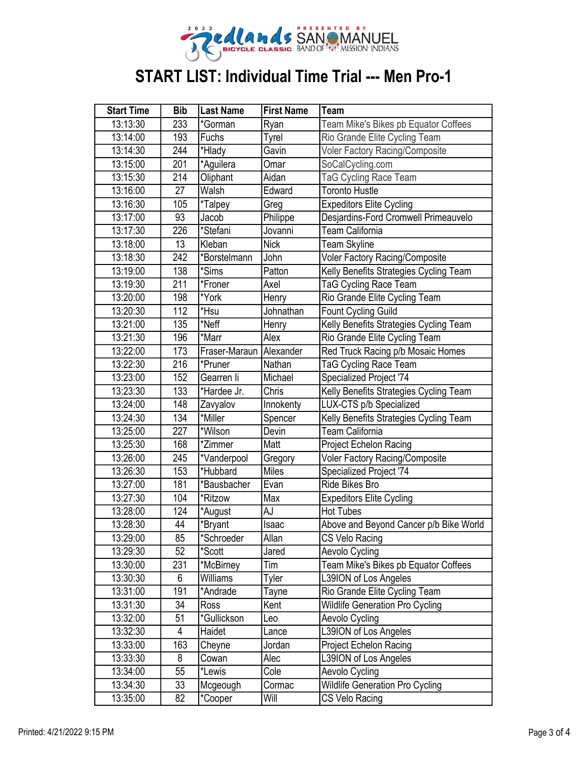

| <b>Start Time</b> | <b>Bib</b> | <b>Last Name</b>        | <b>First Name</b> | Team                                   |
|-------------------|------------|-------------------------|-------------------|----------------------------------------|
| 13:13:30          | 233        | *Gorman                 | Ryan              | Team Mike's Bikes pb Equator Coffees   |
| 13:14:00          | 193        | Fuchs                   | Tyrel             | Rio Grande Elite Cycling Team          |
| 13:14:30          | 244        | *Hlady                  | Gavin             | Voler Factory Racing/Composite         |
| 13:15:00          | 201        | *Aguilera               | Omar              | SoCalCycling.com                       |
| 13:15:30          | 214        | Oliphant                | Aidan             | <b>TaG Cycling Race Team</b>           |
| 13:16:00          | 27         | Walsh                   | Edward            | <b>Toronto Hustle</b>                  |
| 13:16:30          | 105        | *Talpey                 | Greg              | <b>Expeditors Elite Cycling</b>        |
| 13:17:00          | 93         | Jacob                   | Philippe          | Desjardins-Ford Cromwell Primeauvelo   |
| 13:17:30          | 226        | *Stefani                | Jovanni           | Team California                        |
| 13:18:00          | 13         | Kleban                  | Nick              | Team Skyline                           |
| 13:18:30          | 242        | *Borstelmann            | John              | Voler Factory Racing/Composite         |
| 13:19:00          | 138        | *Sims                   | Patton            | Kelly Benefits Strategies Cycling Team |
| 13:19:30          | 211        | *Froner                 | Axel              | TaG Cycling Race Team                  |
| 13:20:00          | 198        | *York                   | Henry             | Rio Grande Elite Cycling Team          |
| 13:20:30          | 112        | *Hsu                    | Johnathan         | <b>Fount Cycling Guild</b>             |
| 13:21:00          | 135        | *Neff                   | Henry             | Kelly Benefits Strategies Cycling Team |
| 13:21:30          | 196        | *Marr                   | Alex              | Rio Grande Elite Cycling Team          |
| 13:22:00          | 173        | Fraser-Maraun Alexander |                   | Red Truck Racing p/b Mosaic Homes      |
| 13:22:30          | 216        | *Pruner                 | Nathan            | TaG Cycling Race Team                  |
| 13:23:00          | 152        | Gearren li              | Michael           | Specialized Project '74                |
| 13:23:30          | 133        | *Hardee Jr.             | Chris             | Kelly Benefits Strategies Cycling Team |
| 13:24:00          | 148        | Zavyalov                | Innokenty         | LUX-CTS p/b Specialized                |
| 13:24:30          | 134        | *Miller                 | Spencer           | Kelly Benefits Strategies Cycling Team |
| 13:25:00          | 227        | *Wilson                 | Devin             | <b>Team California</b>                 |
| 13:25:30          | 168        | *Zimmer                 | Matt              | <b>Project Echelon Racing</b>          |
| 13:26:00          | 245        | *Vanderpool             | Gregory           | Voler Factory Racing/Composite         |
| 13:26:30          | 153        | *Hubbard                | Miles             | Specialized Project '74                |
| 13:27:00          | 181        | *Bausbacher             | Evan              | <b>Ride Bikes Bro</b>                  |
| 13:27:30          | 104        | *Ritzow                 | Max               | <b>Expeditors Elite Cycling</b>        |
| 13:28:00          | 124        | *August                 | AJ                | <b>Hot Tubes</b>                       |
| 13:28:30          | 44         | *Bryant                 | Isaac             | Above and Beyond Cancer p/b Bike World |
| 13:29:00          | 85         | *Schroeder              | Allan             | CS Velo Racing                         |
| 13:29:30          | 52         | *Scott                  | Jared             | Aevolo Cycling                         |
| 13:30:00          | 231        | *McBirney               | Tim               | Team Mike's Bikes pb Equator Coffees   |
| 13:30:30          | 6          | Williams                | Tyler             | L39ION of Los Angeles                  |
| 13:31:00          | 191        | *Andrade                | Tayne             | Rio Grande Elite Cycling Team          |
| 13:31:30          | 34         | Ross                    | Kent              | <b>Wildlife Generation Pro Cycling</b> |
| 13:32:00          | 51         | *Gullickson             | Leo               | Aevolo Cycling                         |
| 13:32:30          | 4          | Haidet                  | Lance             | L39ION of Los Angeles                  |
| 13:33:00          | 163        | Cheyne                  | Jordan            | Project Echelon Racing                 |
| 13:33:30          | 8          | Cowan                   | Alec              | L39ION of Los Angeles                  |
| 13:34:00          | 55         | *Lewis                  | Cole              | Aevolo Cycling                         |
| 13:34:30          | 33         | Mcgeough                | Cormac            | Wildlife Generation Pro Cycling        |
| 13:35:00          | 82         | *Cooper                 | Will              | CS Velo Racing                         |